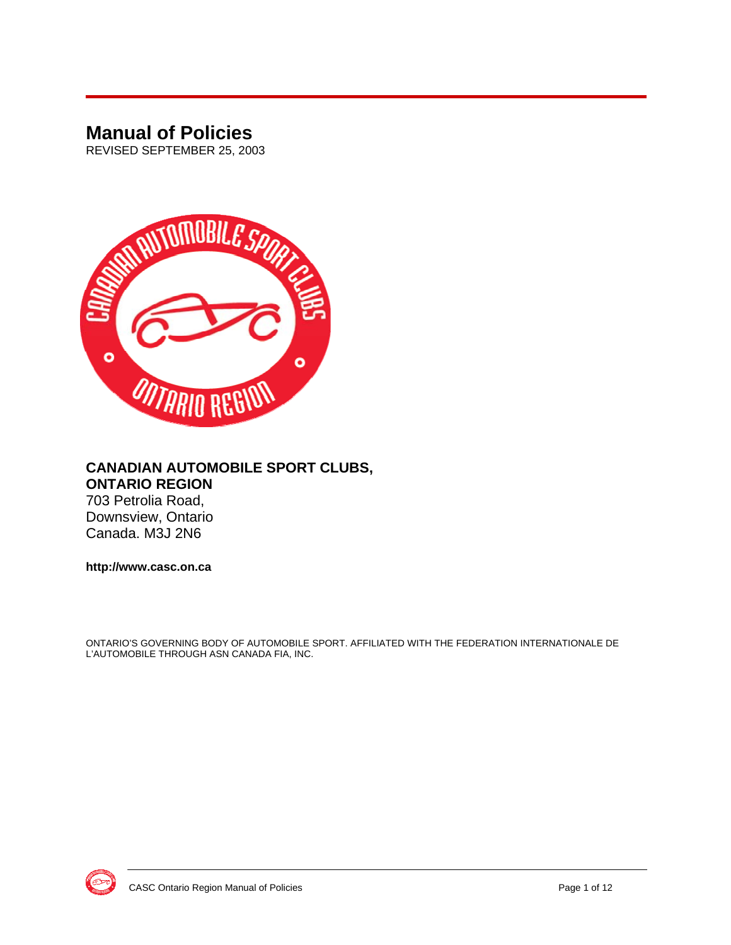## **Manual of Policies**

REVISED SEPTEMBER 25, 2003



#### **CANADIAN AUTOMOBILE SPORT CLUBS, ONTARIO REGION**

703 Petrolia Road, Downsview, Ontario Canada. M3J 2N6

**http://www.casc.on.ca** 

ONTARIO'S GOVERNING BODY OF AUTOMOBILE SPORT. AFFILIATED WITH THE FEDERATION INTERNATIONALE DE L'AUTOMOBILE THROUGH ASN CANADA FIA, INC.

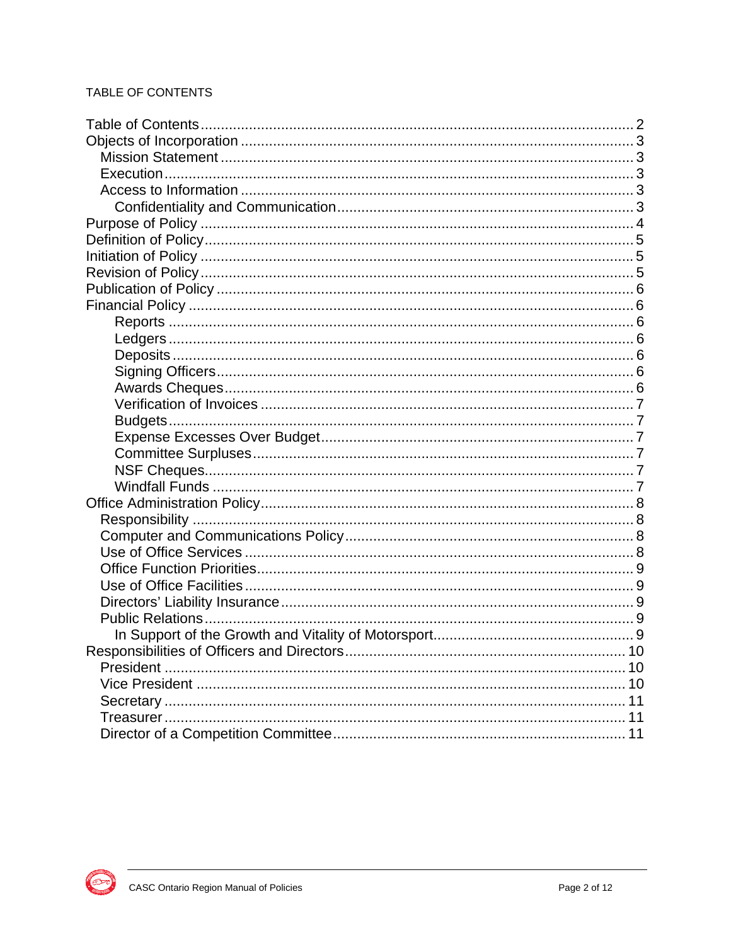#### TABLE OF CONTENTS

| 10 |
|----|
|    |
|    |
|    |
|    |
|    |

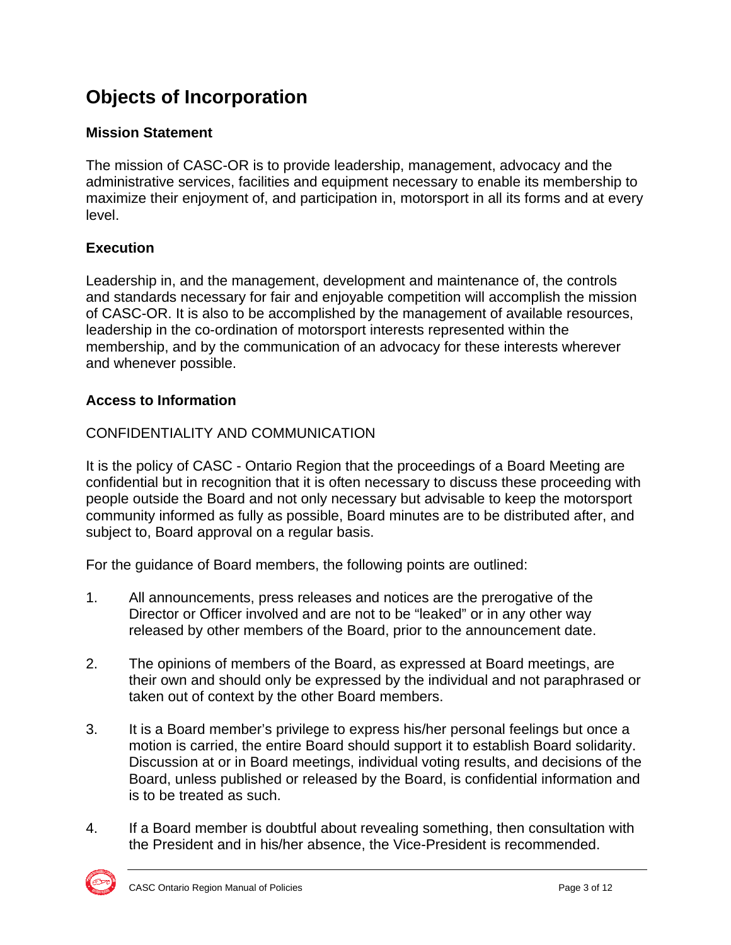# **Objects of Incorporation**

#### **Mission Statement**

The mission of CASC-OR is to provide leadership, management, advocacy and the administrative services, facilities and equipment necessary to enable its membership to maximize their enjoyment of, and participation in, motorsport in all its forms and at every level.

### **Execution**

Leadership in, and the management, development and maintenance of, the controls and standards necessary for fair and enjoyable competition will accomplish the mission of CASC-OR. It is also to be accomplished by the management of available resources, leadership in the co-ordination of motorsport interests represented within the membership, and by the communication of an advocacy for these interests wherever and whenever possible.

### **Access to Information**

### CONFIDENTIALITY AND COMMUNICATION

It is the policy of CASC - Ontario Region that the proceedings of a Board Meeting are confidential but in recognition that it is often necessary to discuss these proceeding with people outside the Board and not only necessary but advisable to keep the motorsport community informed as fully as possible, Board minutes are to be distributed after, and subject to, Board approval on a regular basis.

For the guidance of Board members, the following points are outlined:

- 1. All announcements, press releases and notices are the prerogative of the Director or Officer involved and are not to be "leaked" or in any other way released by other members of the Board, prior to the announcement date.
- 2. The opinions of members of the Board, as expressed at Board meetings, are their own and should only be expressed by the individual and not paraphrased or taken out of context by the other Board members.
- 3. It is a Board member's privilege to express his/her personal feelings but once a motion is carried, the entire Board should support it to establish Board solidarity. Discussion at or in Board meetings, individual voting results, and decisions of the Board, unless published or released by the Board, is confidential information and is to be treated as such.
- 4. If a Board member is doubtful about revealing something, then consultation with the President and in his/her absence, the Vice-President is recommended.

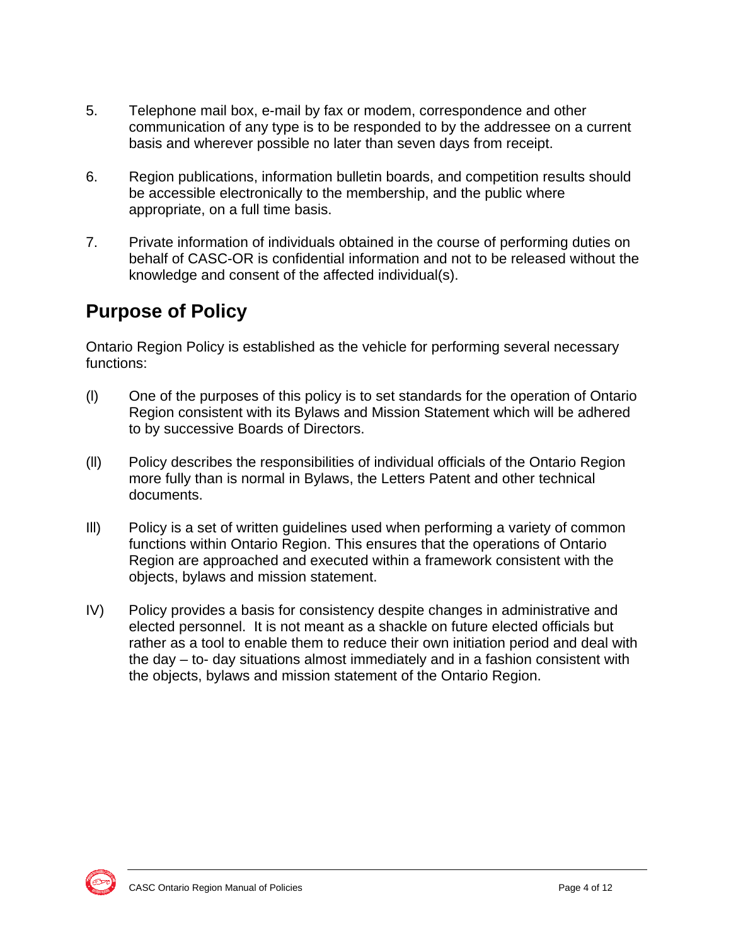- 5. Telephone mail box, e-mail by fax or modem, correspondence and other communication of any type is to be responded to by the addressee on a current basis and wherever possible no later than seven days from receipt.
- 6. Region publications, information bulletin boards, and competition results should be accessible electronically to the membership, and the public where appropriate, on a full time basis.
- 7. Private information of individuals obtained in the course of performing duties on behalf of CASC-OR is confidential information and not to be released without the knowledge and consent of the affected individual(s).

# **Purpose of Policy**

Ontario Region Policy is established as the vehicle for performing several necessary functions:

- (l) One of the purposes of this policy is to set standards for the operation of Ontario Region consistent with its Bylaws and Mission Statement which will be adhered to by successive Boards of Directors.
- (ll) Policy describes the responsibilities of individual officials of the Ontario Region more fully than is normal in Bylaws, the Letters Patent and other technical documents.
- Ill) Policy is a set of written guidelines used when performing a variety of common functions within Ontario Region. This ensures that the operations of Ontario Region are approached and executed within a framework consistent with the objects, bylaws and mission statement.
- IV) Policy provides a basis for consistency despite changes in administrative and elected personnel. It is not meant as a shackle on future elected officials but rather as a tool to enable them to reduce their own initiation period and deal with the day – to- day situations almost immediately and in a fashion consistent with the objects, bylaws and mission statement of the Ontario Region.

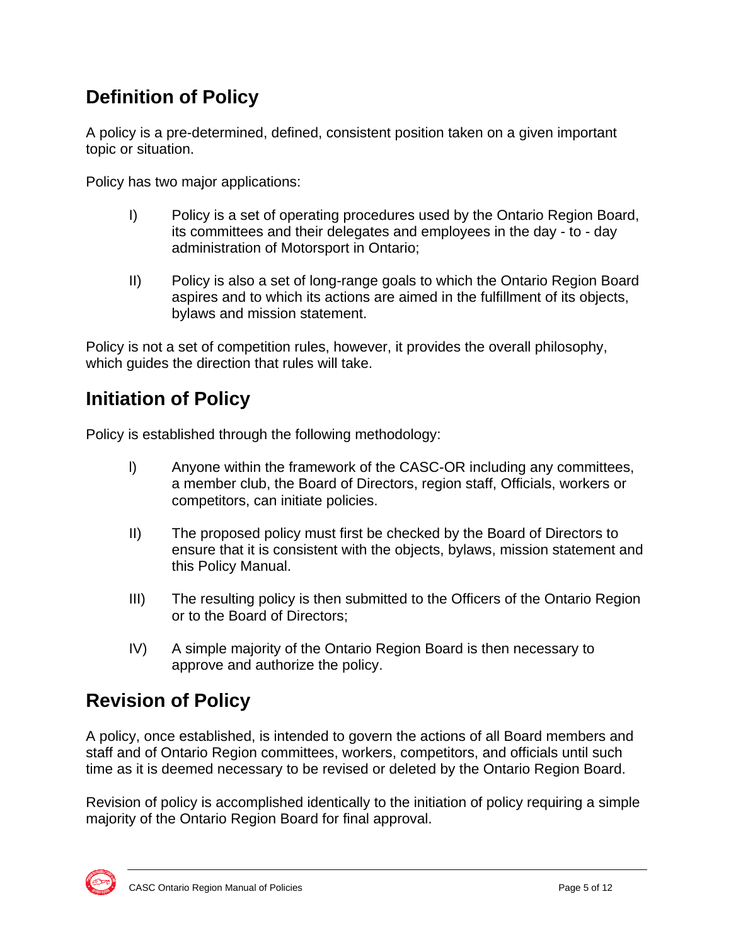# **Definition of Policy**

A policy is a pre-determined, defined, consistent position taken on a given important topic or situation.

Policy has two major applications:

- I) Policy is a set of operating procedures used by the Ontario Region Board, its committees and their delegates and employees in the day - to - day administration of Motorsport in Ontario;
- II) Policy is also a set of long-range goals to which the Ontario Region Board aspires and to which its actions are aimed in the fulfillment of its objects, bylaws and mission statement.

Policy is not a set of competition rules, however, it provides the overall philosophy, which guides the direction that rules will take.

## **Initiation of Policy**

Policy is established through the following methodology:

- l) Anyone within the framework of the CASC-OR including any committees, a member club, the Board of Directors, region staff, Officials, workers or competitors, can initiate policies.
- II) The proposed policy must first be checked by the Board of Directors to ensure that it is consistent with the objects, bylaws, mission statement and this Policy Manual.
- III) The resulting policy is then submitted to the Officers of the Ontario Region or to the Board of Directors;
- IV) A simple majority of the Ontario Region Board is then necessary to approve and authorize the policy.

# **Revision of Policy**

A policy, once established, is intended to govern the actions of all Board members and staff and of Ontario Region committees, workers, competitors, and officials until such time as it is deemed necessary to be revised or deleted by the Ontario Region Board.

Revision of policy is accomplished identically to the initiation of policy requiring a simple majority of the Ontario Region Board for final approval.

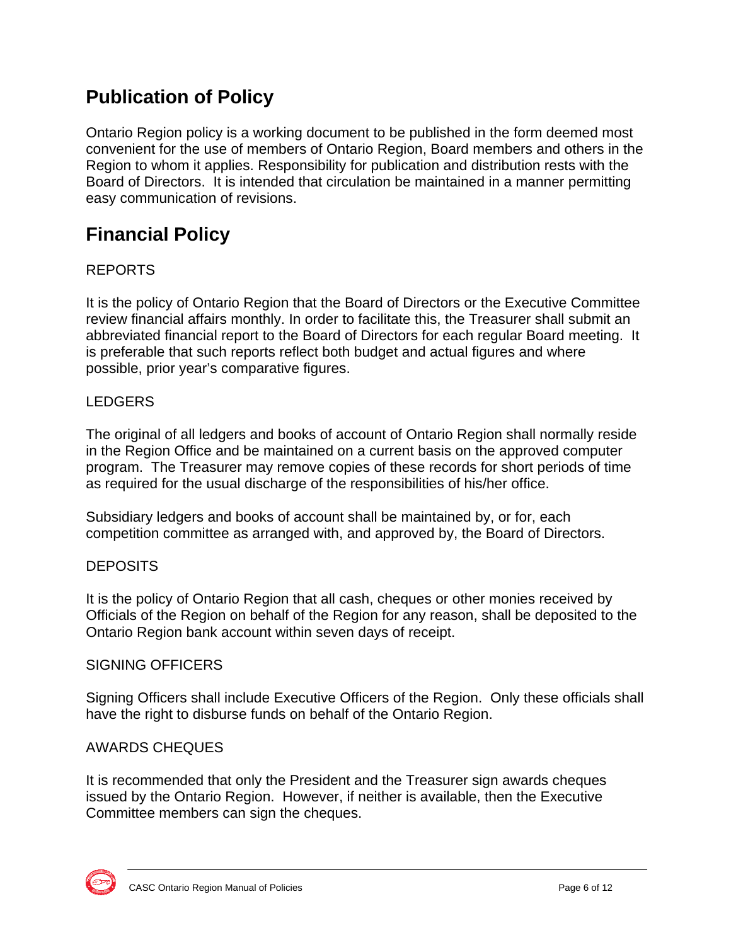# **Publication of Policy**

Ontario Region policy is a working document to be published in the form deemed most convenient for the use of members of Ontario Region, Board members and others in the Region to whom it applies. Responsibility for publication and distribution rests with the Board of Directors. It is intended that circulation be maintained in a manner permitting easy communication of revisions.

## **Financial Policy**

### REPORTS

It is the policy of Ontario Region that the Board of Directors or the Executive Committee review financial affairs monthly. In order to facilitate this, the Treasurer shall submit an abbreviated financial report to the Board of Directors for each regular Board meeting. It is preferable that such reports reflect both budget and actual figures and where possible, prior year's comparative figures.

#### LEDGERS

The original of all ledgers and books of account of Ontario Region shall normally reside in the Region Office and be maintained on a current basis on the approved computer program. The Treasurer may remove copies of these records for short periods of time as required for the usual discharge of the responsibilities of his/her office.

Subsidiary ledgers and books of account shall be maintained by, or for, each competition committee as arranged with, and approved by, the Board of Directors.

#### **DEPOSITS**

It is the policy of Ontario Region that all cash, cheques or other monies received by Officials of the Region on behalf of the Region for any reason, shall be deposited to the Ontario Region bank account within seven days of receipt.

#### SIGNING OFFICERS

Signing Officers shall include Executive Officers of the Region. Only these officials shall have the right to disburse funds on behalf of the Ontario Region.

#### AWARDS CHEQUES

It is recommended that only the President and the Treasurer sign awards cheques issued by the Ontario Region. However, if neither is available, then the Executive Committee members can sign the cheques.

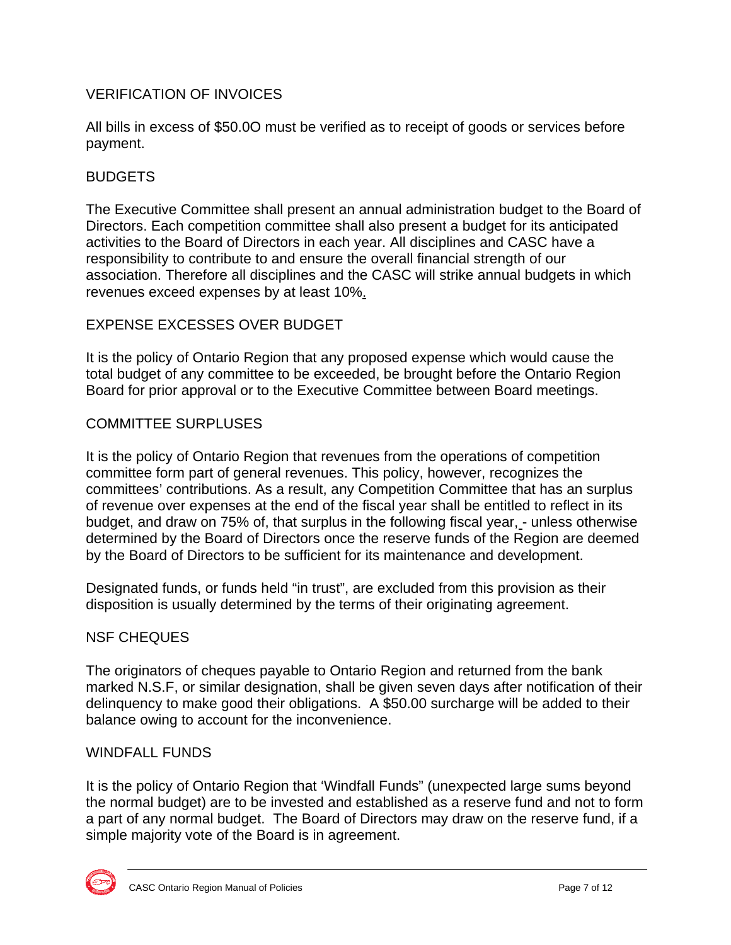#### VERIFICATION OF INVOICES

All bills in excess of \$50.0O must be verified as to receipt of goods or services before payment.

#### BUDGETS

The Executive Committee shall present an annual administration budget to the Board of Directors. Each competition committee shall also present a budget for its anticipated activities to the Board of Directors in each year. All disciplines and CASC have a responsibility to contribute to and ensure the overall financial strength of our association. Therefore all disciplines and the CASC will strike annual budgets in which revenues exceed expenses by at least 10%.

#### EXPENSE EXCESSES OVER BUDGET

It is the policy of Ontario Region that any proposed expense which would cause the total budget of any committee to be exceeded, be brought before the Ontario Region Board for prior approval or to the Executive Committee between Board meetings.

#### COMMITTEE SURPLUSES

It is the policy of Ontario Region that revenues from the operations of competition committee form part of general revenues. This policy, however, recognizes the committees' contributions. As a result, any Competition Committee that has an surplus of revenue over expenses at the end of the fiscal year shall be entitled to reflect in its budget, and draw on 75% of, that surplus in the following fiscal year, - unless otherwise determined by the Board of Directors once the reserve funds of the Region are deemed by the Board of Directors to be sufficient for its maintenance and development.

Designated funds, or funds held "in trust", are excluded from this provision as their disposition is usually determined by the terms of their originating agreement.

#### NSF CHEQUES

The originators of cheques payable to Ontario Region and returned from the bank marked N.S.F, or similar designation, shall be given seven days after notification of their delinquency to make good their obligations. A \$50.00 surcharge will be added to their balance owing to account for the inconvenience.

#### WINDFALL FUNDS

It is the policy of Ontario Region that 'Windfall Funds" (unexpected large sums beyond the normal budget) are to be invested and established as a reserve fund and not to form a part of any normal budget. The Board of Directors may draw on the reserve fund, if a simple majority vote of the Board is in agreement.

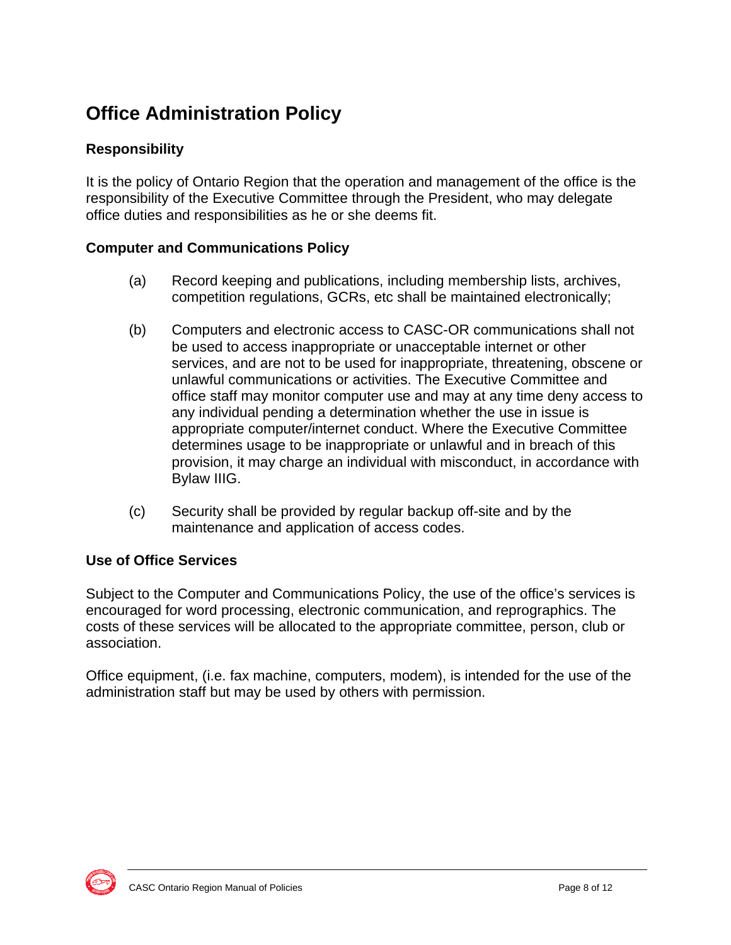# **Office Administration Policy**

### **Responsibility**

It is the policy of Ontario Region that the operation and management of the office is the responsibility of the Executive Committee through the President, who may delegate office duties and responsibilities as he or she deems fit.

#### **Computer and Communications Policy**

- (a) Record keeping and publications, including membership lists, archives, competition regulations, GCRs, etc shall be maintained electronically;
- (b) Computers and electronic access to CASC-OR communications shall not be used to access inappropriate or unacceptable internet or other services, and are not to be used for inappropriate, threatening, obscene or unlawful communications or activities. The Executive Committee and office staff may monitor computer use and may at any time deny access to any individual pending a determination whether the use in issue is appropriate computer/internet conduct. Where the Executive Committee determines usage to be inappropriate or unlawful and in breach of this provision, it may charge an individual with misconduct, in accordance with Bylaw IIIG.
- (c) Security shall be provided by regular backup off-site and by the maintenance and application of access codes.

#### **Use of Office Services**

Subject to the Computer and Communications Policy, the use of the office's services is encouraged for word processing, electronic communication, and reprographics. The costs of these services will be allocated to the appropriate committee, person, club or association.

Office equipment, (i.e. fax machine, computers, modem), is intended for the use of the administration staff but may be used by others with permission.

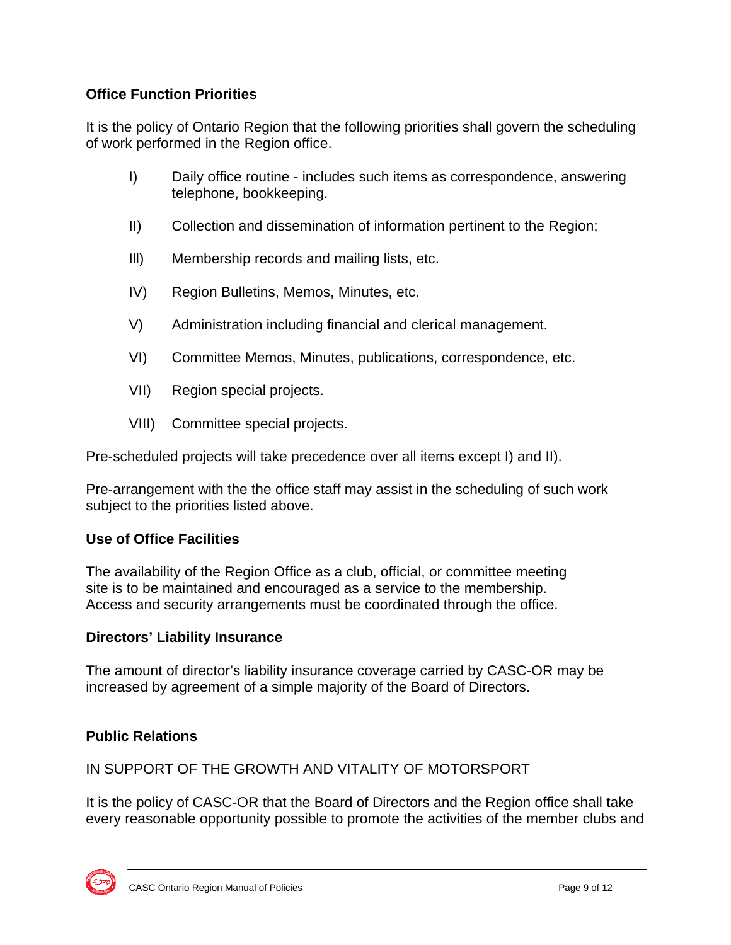### **Office Function Priorities**

It is the policy of Ontario Region that the following priorities shall govern the scheduling of work performed in the Region office.

- I) Daily office routine includes such items as correspondence, answering telephone, bookkeeping.
- II) Collection and dissemination of information pertinent to the Region;
- Ill) Membership records and mailing lists, etc.
- IV) Region Bulletins, Memos, Minutes, etc.
- V) Administration including financial and clerical management.
- VI) Committee Memos, Minutes, publications, correspondence, etc.
- VII) Region special projects.
- VIII) Committee special projects.

Pre-scheduled projects will take precedence over all items except I) and II).

Pre-arrangement with the the office staff may assist in the scheduling of such work subject to the priorities listed above.

#### **Use of Office Facilities**

The availability of the Region Office as a club, official, or committee meeting site is to be maintained and encouraged as a service to the membership. Access and security arrangements must be coordinated through the office.

#### **Directors' Liability Insurance**

The amount of director's liability insurance coverage carried by CASC-OR may be increased by agreement of a simple majority of the Board of Directors.

#### **Public Relations**

IN SUPPORT OF THE GROWTH AND VITALITY OF MOTORSPORT

It is the policy of CASC-OR that the Board of Directors and the Region office shall take every reasonable opportunity possible to promote the activities of the member clubs and

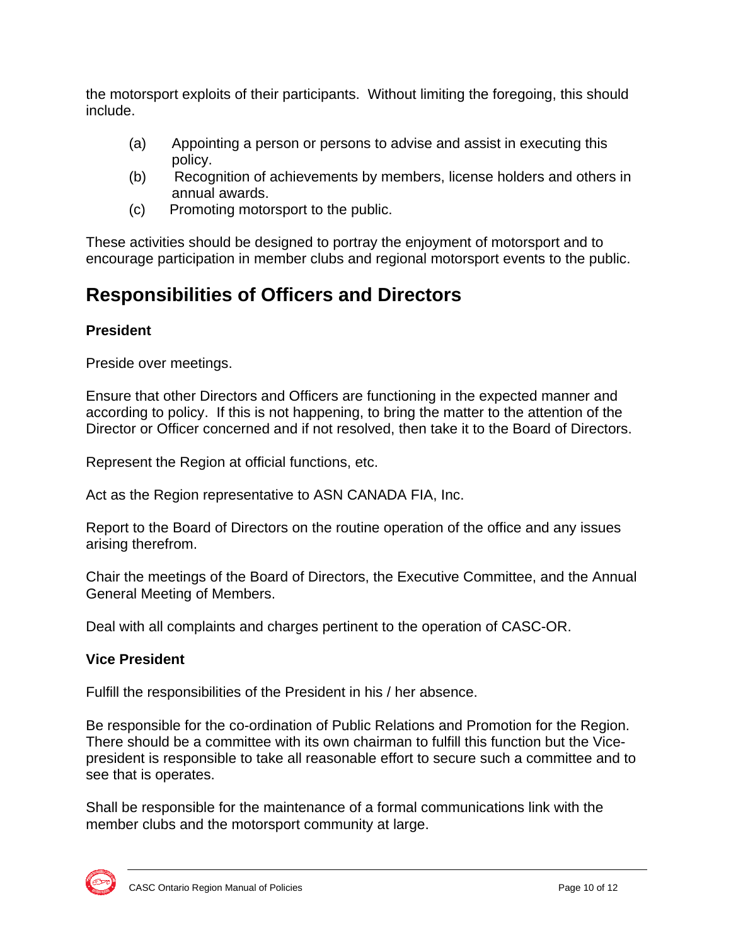the motorsport exploits of their participants. Without limiting the foregoing, this should include.

- (a) Appointing a person or persons to advise and assist in executing this policy.
- (b) Recognition of achievements by members, license holders and others in annual awards.
- (c) Promoting motorsport to the public.

These activities should be designed to portray the enjoyment of motorsport and to encourage participation in member clubs and regional motorsport events to the public.

# **Responsibilities of Officers and Directors**

### **President**

Preside over meetings.

Ensure that other Directors and Officers are functioning in the expected manner and according to policy. If this is not happening, to bring the matter to the attention of the Director or Officer concerned and if not resolved, then take it to the Board of Directors.

Represent the Region at official functions, etc.

Act as the Region representative to ASN CANADA FIA, Inc.

Report to the Board of Directors on the routine operation of the office and any issues arising therefrom.

Chair the meetings of the Board of Directors, the Executive Committee, and the Annual General Meeting of Members.

Deal with all complaints and charges pertinent to the operation of CASC-OR.

### **Vice President**

Fulfill the responsibilities of the President in his / her absence.

Be responsible for the co-ordination of Public Relations and Promotion for the Region. There should be a committee with its own chairman to fulfill this function but the Vicepresident is responsible to take all reasonable effort to secure such a committee and to see that is operates.

Shall be responsible for the maintenance of a formal communications link with the member clubs and the motorsport community at large.

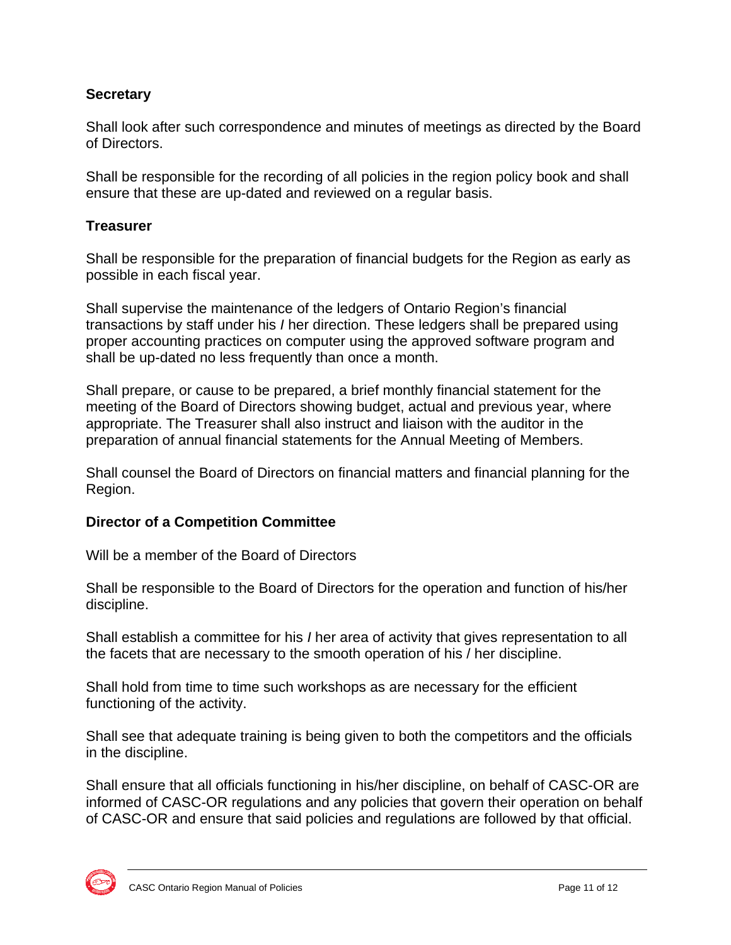#### **Secretary**

Shall look after such correspondence and minutes of meetings as directed by the Board of Directors.

Shall be responsible for the recording of all policies in the region policy book and shall ensure that these are up-dated and reviewed on a regular basis.

#### **Treasurer**

Shall be responsible for the preparation of financial budgets for the Region as early as possible in each fiscal year.

Shall supervise the maintenance of the ledgers of Ontario Region's financial transactions by staff under his *I* her direction. These ledgers shall be prepared using proper accounting practices on computer using the approved software program and shall be up-dated no less frequently than once a month.

Shall prepare, or cause to be prepared, a brief monthly financial statement for the meeting of the Board of Directors showing budget, actual and previous year, where appropriate. The Treasurer shall also instruct and liaison with the auditor in the preparation of annual financial statements for the Annual Meeting of Members.

Shall counsel the Board of Directors on financial matters and financial planning for the Region.

#### **Director of a Competition Committee**

Will be a member of the Board of Directors

Shall be responsible to the Board of Directors for the operation and function of his/her discipline.

Shall establish a committee for his *I* her area of activity that gives representation to all the facets that are necessary to the smooth operation of his / her discipline.

Shall hold from time to time such workshops as are necessary for the efficient functioning of the activity.

Shall see that adequate training is being given to both the competitors and the officials in the discipline.

Shall ensure that all officials functioning in his/her discipline, on behalf of CASC-OR are informed of CASC-OR regulations and any policies that govern their operation on behalf of CASC-OR and ensure that said policies and regulations are followed by that official.